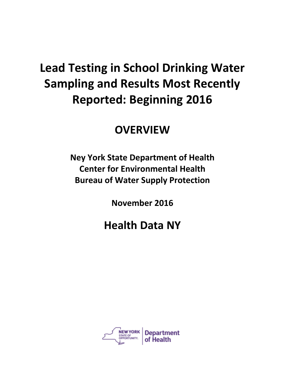# **Lead Testing in School Drinking Water Sampling and Results Most Recently Reported: Beginning 2016**

### **OVERVIEW**

**Ney York State Department of Health Center for Environmental Health Bureau of Water Supply Protection**

**November 2016**

## **Health Data NY**

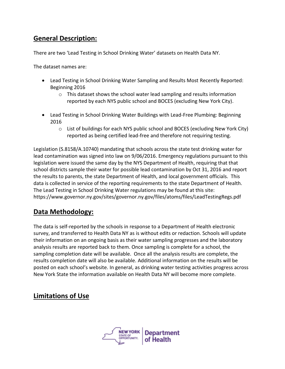#### **General Description:**

There are two 'Lead Testing in School Drinking Water' datasets on Health Data NY.

The dataset names are:

- Lead Testing in School Drinking Water Sampling and Results Most Recently Reported: Beginning 2016
	- $\circ$  This dataset shows the school water lead sampling and results information reported by each NYS public school and BOCES (excluding New York City).
- Lead Testing in School Drinking Water Buildings with Lead-Free Plumbing: Beginning 2016
	- $\circ$  List of buildings for each NYS public school and BOCES (excluding New York City) reported as being certified lead-free and therefore not requiring testing.

Legislation (S.8158/A.10740) mandating that schools across the state test drinking water for lead contamination was signed into law on 9/06/2016. Emergency regulations pursuant to this legislation were issued the same day by the NYS Department of Health, requiring that that school districts sample their water for possible lead contamination by Oct 31, 2016 and report the results to parents, the state Department of Health, and local government officials. This data is collected in service of the reporting requirements to the state Department of Health. The Lead Testing in School Drinking Water regulations may be found at this site: https://www.governor.ny.gov/sites/governor.ny.gov/files/atoms/files/LeadTestingRegs.pdf

#### **Data Methodology:**

The data is self-reported by the schools in response to a Department of Health electronic survey, and transferred to Health Data NY as is without edits or redaction. Schools will update their information on an ongoing basis as their water sampling progresses and the laboratory analysis results are reported back to them. Once sampling is complete for a school, the sampling completion date will be available. Once all the analysis results are complete, the results completion date will also be available. Additional information on the results will be posted on each school's website. In general, as drinking water testing activities progress across New York State the information available on Health Data NY will become more complete.

#### **Limitations of Use**